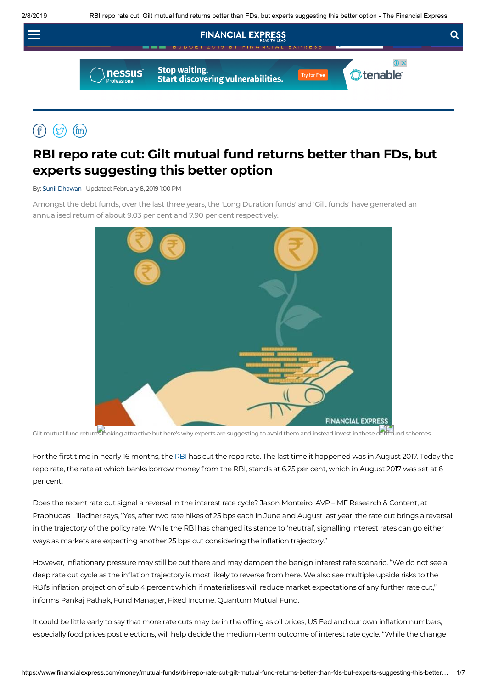

## $(2)$   $(\mathbb{m})$

# **RBI repo rate cut: Gilt mutual fund returns better than FDs, but experts suggesting this better option**

By: Sunil [Dhawan](https://www.financialexpress.com/author/sunil/) | Updated: February 8, 2019 1:00 PM

Amongst the debt funds, over the last three years, the 'Long Duration funds' and 'Gilt funds' have generated an annualised return of about 9.03 per cent and 7.90 per cent respectively.



Gilt mutual fund returns looking attractive but here's why experts are suggesting to avoid them and instead invest in these [deb](https://goo.gl/j0jrmb)t rund schemes.

For the first time in nearly 16 months, the [RBI](http://www.financialexpress.com/tag/rbi/) has cut the repo rate. The last time it happened was in August 2017. Today the repo rate, the rate at which banks borrow money from the RBI, stands at 6.25 per cent, which in August 2017 was set at 6 per cent.

Does the recent rate cut signal a reversal in the interest rate cycle? Jason Monteiro, AVP – MF Research & Content, at Prabhudas Lilladher says, "Yes, after two rate hikes of 25 bps each in June and August last year, the rate cut brings a reversal in the trajectory of the policy rate. While the RBI has changed its stance to 'neutral', signalling interest rates can go either ways as markets are expecting another 25 bps cut considering the inflation trajectory."

However, inflationary pressure may still be out there and may dampen the benign interest rate scenario. "We do not see a deep rate cut cycle as the inflation trajectory is most likely to reverse from here. We also see multiple upside risks to the RBI's inflation projection of sub 4 percent which if materialises will reduce market expectations of any further rate cut," informs Pankaj Pathak, Fund Manager, Fixed Income, Quantum Mutual Fund.

It could be little early to say that more rate cuts may be in the offing as oil prices, US Fed and our own inflation numbers, especially food prices post elections, will help decide the medium-term outcome of interest rate cycle. "While the change